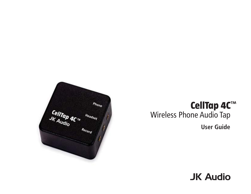

# **CellTap 4C**™ Wireless Phone Audio Tap **User Guide**

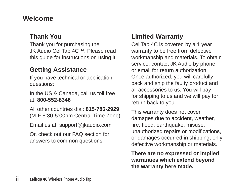# **Welcome**

#### **Thank You**

Thank you for purchasing the JK Audio CellTap 4C™. Please read this guide for instructions on using it.

## **Getting Assistance**

If you have technical or application questions:

In the US & Canada, call us toll free at: **800-552-8346**

All other countries dial: **815-786-2929** (M-F 8:30-5:00pm Central Time Zone)

Email us at: support@jkaudio.com

Or, check out our FAQ section for answers to common questions.

# **Limited Warranty**

CellTap 4C is covered by a 1 year warranty to be free from defective workmanship and materials. To obtain service, contact JK Audio by phone or email for return authorization. Once authorized, you will carefully pack and ship the faulty product and all accessories to us. You will pay for shipping to us and we will pay for return back to you.

This warranty does not cover damages due to accident, weather, fire, flood, earthquake, misuse, unauthorized repairs or modifications, or damages occurred in shipping, only defective workmanship or materials.

**There are no expressed or implied warranties which extend beyond the warranty here made.**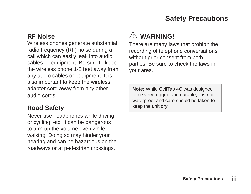# **Safety Precautions**

#### **RF Noise**

Wireless phones generate substantial radio frequency (RF) noise during a call which can easily leak into audio cables or equipment. Be sure to keep the wireless phone 1-2 feet away from any audio cables or equipment. It is also important to keep the wireless adapter cord away from any other audio cords.

### **Road Safety**

Never use headphones while driving or cycling, etc. It can be dangerous to turn up the volume even while walking. Doing so may hinder your hearing and can be hazardous on the roadways or at pedestrian crossings.

# **WARNING!**

There are many laws that prohibit the recording of telephone conversations without prior consent from both parties. Be sure to check the laws in your area.

**Note:** While CellTap 4C was designed to be very rugged and durable, it is not waterproof and care should be taken to keep the unit dry.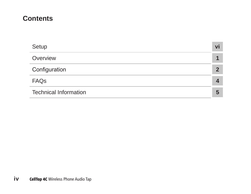## **Contents**

| Setup                        | Vi |
|------------------------------|----|
| Overview                     |    |
| Configuration                |    |
| <b>FAQs</b>                  |    |
| <b>Technical Information</b> | h  |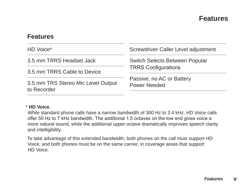#### **Features**

#### **Features**

| HD Voice*                                         | Screwdriver Caller Level adjustment       |  |  |
|---------------------------------------------------|-------------------------------------------|--|--|
| 3.5 mm TRRS Headset Jack                          | Switch Selects Between Popular            |  |  |
| 3.5 mm TRRS Cable to Device                       | <b>TRRS Configurations</b>                |  |  |
| 3.5 mm TRS Stereo Mic Level Output<br>to Recorder | Passive, no AC or Battery<br>Power Needed |  |  |

#### \* **HD Voice**.

While standard phone calls have a narrow bandwidth of 300 Hz to 3.4 kHz, HD Voice calls offer 50 Hz to 7 kHz bandwidth. The additional 1.5 octaves on the low end gives voice a more natural sound, while the additional upper octave dramatically improves speech clarity and intelligibility.

To take advantage of this extended bandwidth, both phones on the call must support HD Voice, and both phones must be on the same carrier, in coverage areas that support HD Voice.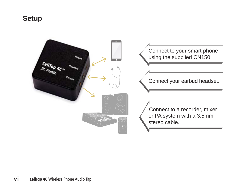### **Setup**

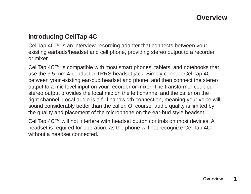## **Overview**

#### **Introducing CellTap 4C**

CellTap 4C™ is an interview-recording adapter that connects between your existing earbuds/headset and cell phone, providing stereo output to a recorder or mixer.

CellTap 4C™ is compatible with most smart phones, tablets, and notebooks that use the 3.5 mm 4-conductor TRRS headset jack. Simply connect CellTap 4C between your existing ear-bud headset and phone, and then connect the stereo output to a mic level input on your recorder or mixer. The transformer coupled stereo output provides the local mic on the left channel and the caller on the right channel. Local audio is a full bandwidth connection, meaning your voice will sound considerably better than the caller. Of course, audio quality is limited by the quality and placement of the microphone on the ear-bud style headset.

CellTap 4C™ will not interfere with headset button controls on most devices. A headset is required for operation, as the phone will not recognize CellTap 4C without a headset connected.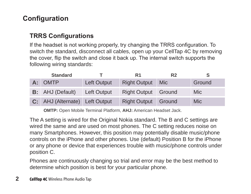# **Configuration**

#### **TRRS Configurations**

If the headset is not working properly, try changing the TRRS configuration. To switch the standard, disconnect all cables, open up your CellTap 4C by removing the cover, flip the switch and close it back up. The internal switch supports the following wiring standards:

|    | <b>Standard</b>                |             | R1                  | R <sub>2</sub> |            |
|----|--------------------------------|-------------|---------------------|----------------|------------|
| А: | <b>OMTP</b>                    | Left Output | <b>Right Output</b> | <b>Mic</b>     | Ground     |
|    | <b>B:</b> AHJ (Default)        | Left Output | <b>Right Output</b> | Ground         | <b>Mic</b> |
|    | C: AHJ (Alternate) Left Output |             | <b>Right Output</b> | Ground         | Mic        |

**OMTP:** Open Mobile Terminal Platform, **AHJ:** American Headset Jack.

The A setting is wired for the Original Nokia standard. The B and C settings are wired the same and are used on most phones. The C setting reduces noise on many Smartphones. However, this position may potentially disable music/phone controls on the iPhone and other phones. Use (default) Position B for the iPhone or any phone or device that experiences trouble with music/phone controls under position C.

Phones are continuously changing so trial and error may be the best method to determine which position is best for your particular phone.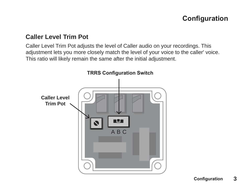# **Configuration**

#### **Caller Level Trim Pot**

Caller Level Trim Pot adjusts the level of Caller audio on your recordings. This adjustment lets you more closely match the level of your voice to the caller' voice. This ratio will likely remain the same after the initial adjustment.

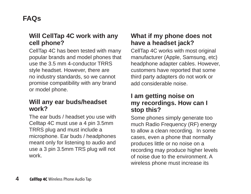# **FAQs**

#### **Will CellTap 4C work with any cell phone?**

CellTap 4C has been tested with many popular brands and model phones that use the 3.5 mm 4-conductor TRRS style headset. However, there are no industry standards, so we cannot promise compatibility with any brand or model phone.

#### **Will any ear buds/headset work?**

The ear buds / headset you use with Celltap 4C must use a 4 pin 3.5mm TRRS plug and must include a microphone. Ear buds / headphones meant only for listening to audio and use a 3 pin 3.5mm TRS plug will not work.

#### **What if my phone does not have a headset jack?**

CellTap 4C works with most original manufacturer (Apple, Samsung, etc) headphone adapter cables. However, customers have reported that some third party adapters do not work or add considerable noise.

#### **I am getting noise on my recordings. How can I stop this?**

Some phones simply generate too much Radio Frequency (RF) energy to allow a clean recording. In some cases, even a phone that normally produces little or no noise on a recording may produce higher levels of noise due to the environment. A wireless phone must increase its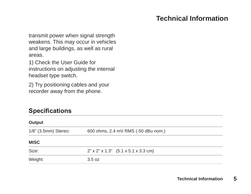# **Technical Information**

transmit power when signal strength weakens. This may occur in vehicles and large buildings, as well as rural areas.

1) Check the User Guide for instructions on adjusting the internal headset type switch.

2) Try positioning cables and your recorder away from the phone.

#### **Specifications**

| Output               |                                           |  |  |  |  |
|----------------------|-------------------------------------------|--|--|--|--|
| 1/8" (3.5mm) Stereo: | 600 ohms, 2.4 mV RMS (-50 dBu nom.)       |  |  |  |  |
| <b>MISC</b>          |                                           |  |  |  |  |
| Size:                | $2"$ x $2"$ x $1.3"$ (5.1 x 5.1 x 3.3 cm) |  |  |  |  |
| Weight:              | 3.5 oz                                    |  |  |  |  |